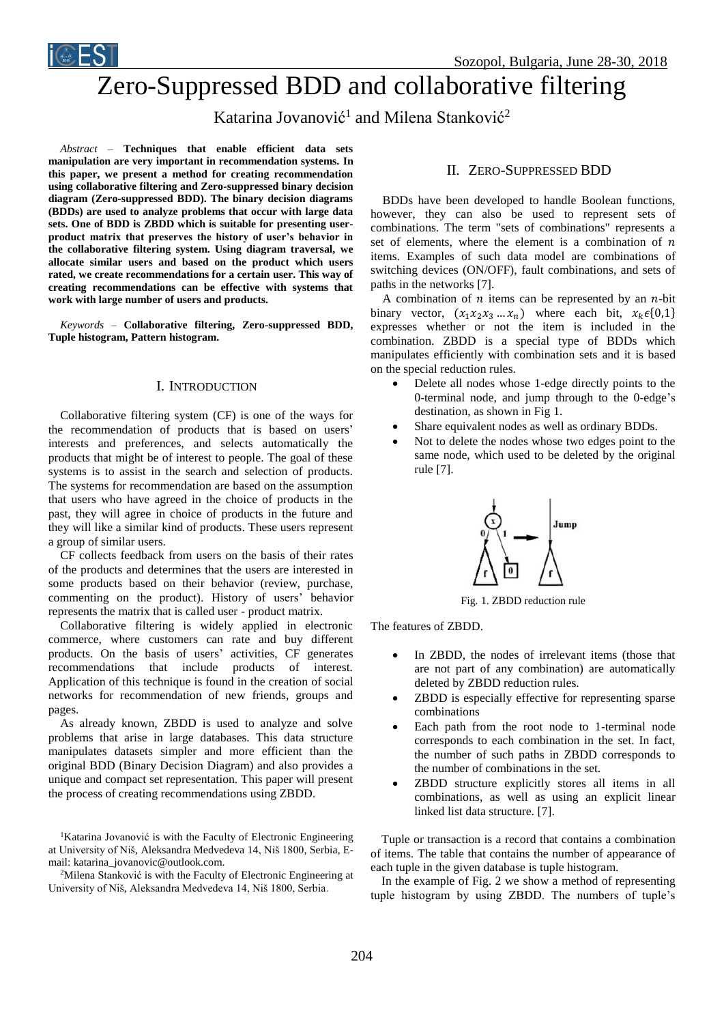



# Zero-Suppressed BDD and collaborative filtering

# Katarina Jovanović<sup>1</sup> and Milena Stanković<sup>2</sup>

*Abstract –* **Techniques that enable efficient data sets manipulation are very important in recommendation systems. In this paper, we present a method for creating recommendation using collaborative filtering and Zero-suppressed binary decision diagram (Zero-suppressed BDD). The binary decision diagrams (BDDs) are used to analyze problems that occur with large data sets. One of BDD is ZBDD which is suitable for presenting userproduct matrix that preserves the history of user's behavior in the collaborative filtering system. Using diagram traversal, we allocate similar users and based on the product which users rated, we create recommendations for a certain user. This way of creating recommendations can be effective with systems that work with large number of users and products.**

*Keywords –* **Collaborative filtering, Zero-suppressed BDD, Tuple histogram, Pattern histogram.**

## I. INTRODUCTION

Collaborative filtering system (CF) is one of the ways for the recommendation of products that is based on users' interests and preferences, and selects automatically the products that might be of interest to people. The goal of these systems is to assist in the search and selection of products. The systems for recommendation are based on the assumption that users who have agreed in the choice of products in the past, they will agree in choice of products in the future and they will like a similar kind of products. These users represent a group of similar users.

CF collects feedback from users on the basis of their rates of the products and determines that the users are interested in some products based on their behavior (review, purchase, commenting on the product). History of users' behavior represents the matrix that is called user - product matrix.

Collaborative filtering is widely applied in electronic commerce, where customers can rate and buy different products. On the basis of users' activities, CF generates recommendations that include products of interest. Application of this technique is found in the creation of social networks for recommendation of new friends, groups and pages.

As already known, ZBDD is used to analyze and solve problems that arise in large databases. This data structure manipulates datasets simpler and more efficient than the original BDD (Binary Decision Diagram) and also provides a unique and compact set representation. This paper will present the process of creating recommendations using ZBDD.

<sup>1</sup>Katarina Jovanović is with the Faculty of Electronic Engineering at University of Niš, Aleksandra Medvedeva 14, Niš 1800, Serbia, Email: katarina\_jovanovic@outlook.com.

<sup>2</sup>Milena Stanković is with the Faculty of Electronic Engineering at University of Niš, Aleksandra Medvedeva 14, Niš 1800, Serbia.

#### II. ZERO-SUPPRESSED BDD

BDDs have been developed to handle Boolean functions, however, they can also be used to represent sets of combinations. The term "sets of combinations" represents a set of elements, where the element is a combination of  $n$ items. Examples of such data model are combinations of switching devices (ON/OFF), fault combinations, and sets of paths in the networks [7].

A combination of  $n$  items can be represented by an  $n$ -bit binary vector,  $(x_1x_2x_3...x_n)$  where each bit,  $x_k \in \{0,1\}$ expresses whether or not the item is included in the combination. ZBDD is a special type of BDDs which manipulates efficiently with combination sets and it is based on the special reduction rules.

- Delete all nodes whose 1-edge directly points to the 0-terminal node, and jump through to the 0-edge's destination, as shown in Fig 1.
- Share equivalent nodes as well as ordinary BDDs.
- Not to delete the nodes whose two edges point to the same node, which used to be deleted by the original rule [7].



Fig. 1. ZBDD reduction rule

The features of ZBDD.

- In ZBDD, the nodes of irrelevant items (those that are not part of any combination) are automatically deleted by ZBDD reduction rules.
- ZBDD is especially effective for representing sparse combinations
- Each path from the root node to 1-terminal node corresponds to each combination in the set. In fact, the number of such paths in ZBDD corresponds to the number of combinations in the set.
- ZBDD structure explicitly stores all items in all combinations, as well as using an explicit linear linked list data structure. [7].

Tuple or transaction is a record that contains a combination of items. The table that contains the number of appearance of each tuple in the given database is tuple histogram.

In the example of Fig. 2 we show a method of representing tuple histogram by using ZBDD. The numbers of tuple's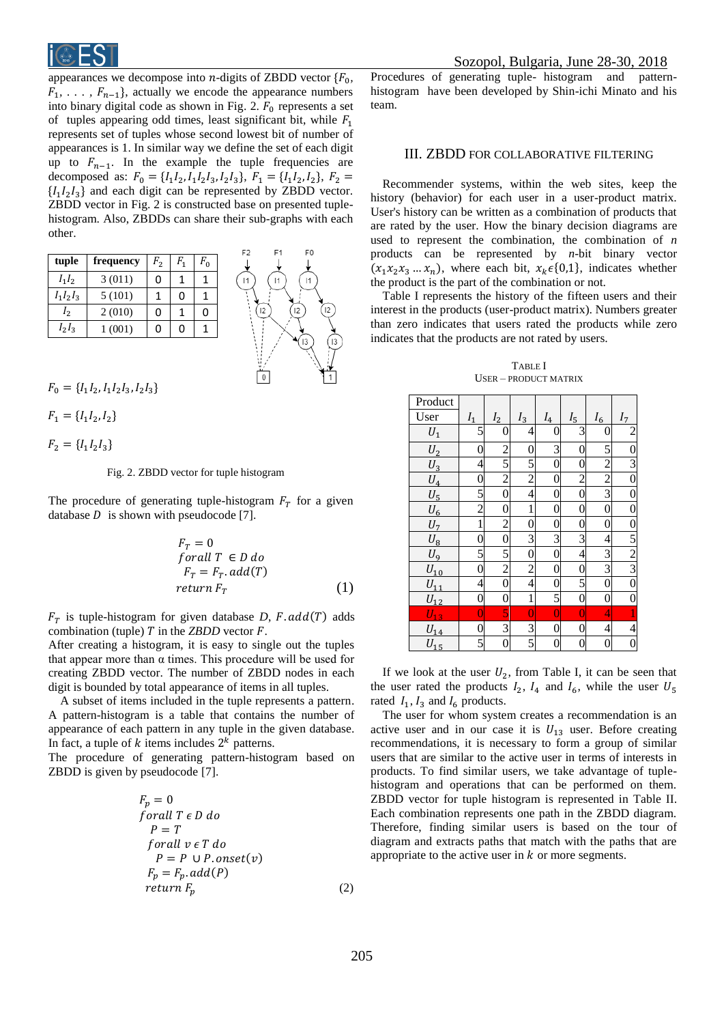

appearances we decompose into *n*-digits of ZBDD vector  $\{F_0,$  $F_1, \ldots, F_{n-1}$ , actually we encode the appearance numbers into binary digital code as shown in Fig. 2.  $F_0$  represents a set of tuples appearing odd times, least significant bit, while  $F_1$ represents set of tuples whose second lowest bit of number of appearances is 1. In similar way we define the set of each digit up to  $F_{n-1}$ . In the example the tuple frequencies are decomposed as:  $F_0 = \{I_1I_2, I_1I_2I_3, I_2I_3\}, F_1 = \{I_1I_2, I_2\}, F_2 =$  ${I_1I_2I_3}$  and each digit can be represented by ZBDD vector. ZBDD vector in Fig. 2 is constructed base on presented tuplehistogram. Also, ZBDDs can share their sub-graphs with each other.





$$
F_0 = \{I_1 I_2, I_1 I_2 I_3, I_2 I_3\}
$$

 $F_1 = \{I_1I_2, I_2\}$ 

 $F_2 = \{I_1 I_2 I_3\}$ 

Fig. 2. ZBDD vector for tuple histogram

The procedure of generating tuple-histogram  $F<sub>T</sub>$  for a given database  $D$  is shown with pseudocode [7].

$$
FT = 0\nfor all T \in D do\nFT = FT. add(T)\nreturn FT
$$
\n(1)

 $F_T$  is tuple-histogram for given database *D*, *F. add*(*T*) adds combination (tuple)  $T$  in the *ZBDD* vector  $F$ .

After creating a histogram, it is easy to single out the tuples that appear more than  $α$  times. This procedure will be used for creating ZBDD vector. The number of ZBDD nodes in each digit is bounded by total appearance of items in all tuples.

A subset of items included in the tuple represents a pattern. A pattern-histogram is a table that contains the number of appearance of each pattern in any tuple in the given database. In fact, a tuple of  $k$  items includes  $2^k$  patterns.

The procedure of generating pattern-histogram based on ZBDD is given by pseudocode [7].

$$
F_p = 0
$$
  
for all  $T \in D$  do  
 $P = T$   
for all  $v \in T$  do  
 $P = P \cup P$ . onset(v)  
 $F_p = F_p$ . add(P)  
return  $F_p$  (2)

Procedures of generating tuple- histogram and patternhistogram have been developed by Shin-ichi Minato and his team.

## III. ZBDD FOR COLLABORATIVE FILTERING

Recommender systems, within the web sites, keep the history (behavior) for each user in a user-product matrix. User's history can be written as a combination of products that are rated by the user. How the binary decision diagrams are used to represent the combination, the combination of *n* products can be represented by *n*-bit binary vector  $(x_1x_2x_3...x_n)$ , where each bit,  $x_k \in \{0,1\}$ , indicates whether the product is the part of the combination or not.

Table I represents the history of the fifteen users and their interest in the products (user-product matrix). Numbers greater than zero indicates that users rated the products while zero indicates that the products are not rated by users.

| I <sub>7</sub><br>$\overline{c}$ |
|----------------------------------|
|                                  |
|                                  |
|                                  |
| $\boldsymbol{0}$                 |
|                                  |
| $\frac{3}{0}$                    |
| $\overline{0}$                   |
| $\overline{0}$                   |
| $\boldsymbol{0}$                 |
| $\overline{5}$                   |
| $\overline{c}$                   |
| $\overline{3}$                   |
| $\overline{0}$                   |
| $\overline{0}$                   |
| $\mathbf{1}$                     |
| $\overline{\mathcal{L}}$         |
| $\boldsymbol{0}$                 |
|                                  |

TABLE I USER – PRODUCT MATRIX

If we look at the user  $U_2$ , from Table I, it can be seen that the user rated the products  $I_2$ ,  $I_4$  and  $I_6$ , while the user  $U_5$ rated  $I_1$ ,  $I_3$  and  $I_6$  products.

The user for whom system creates a recommendation is an active user and in our case it is  $U_{13}$  user. Before creating recommendations, it is necessary to form a group of similar users that are similar to the active user in terms of interests in products. To find similar users, we take advantage of tuplehistogram and operations that can be performed on them. ZBDD vector for tuple histogram is represented in Table II. Each combination represents one path in the ZBDD diagram. Therefore, finding similar users is based on the tour of diagram and extracts paths that match with the paths that are appropriate to the active user in  $k$  or more segments.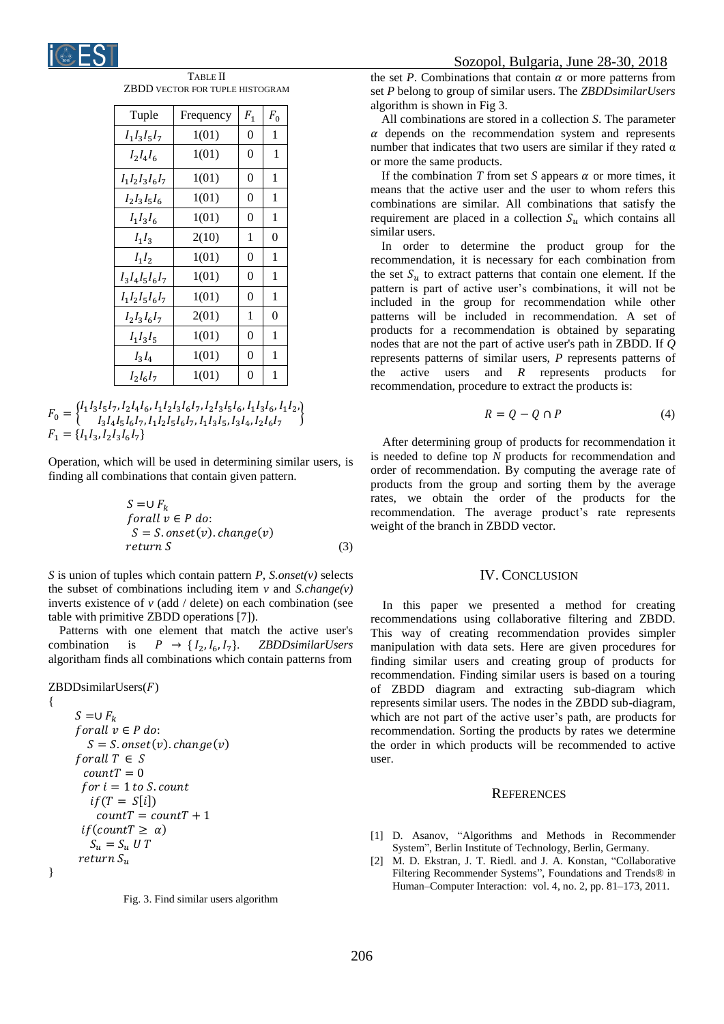

TABLE II ZBDD VECTOR FOR TUPLE HISTOGRAM

| Tuple             | Frequency | $F_1$    | F <sub>0</sub> |
|-------------------|-----------|----------|----------------|
| $I_1I_3I_5I_7$    | 1(01)     | 0        | 1              |
| $I_2I_4I_6$       | 1(01)     | 0        | 1              |
| $I_1I_2I_3I_6I_7$ | 1(01)     | $\theta$ | 1              |
| $l_2 l_3 l_5 l_6$ | 1(01)     | 0        | 1              |
| $l_1 l_3 l_6$     | 1(01)     | 0        | 1              |
| $I_1I_3$          | 2(10)     | 1        | 0              |
| $I_1I_2$          | 1(01)     | 0        | 1              |
| $I_3I_4I_5I_6I_7$ | 1(01)     | 0        | 1              |
| $I_1I_2I_5I_6I_7$ | 1(01)     | 0        | 1              |
| $I_2I_3I_6I_7$    | 2(01)     | 1        | $\theta$       |
| $I_1I_3I_5$       | 1(01)     | 0        | 1              |
| $I_3I_4$          | 1(01)     | 0        | 1              |
| $I_2I_6I_7$       | 1(01)     | 0        | 1              |

$$
F_0 = \begin{cases} I_1 I_3 I_5 I_7, I_2 I_4 I_6, I_1 I_2 I_3 I_6 I_7, I_2 I_3 I_5 I_6, I_1 I_3 I_6, I_1 I_2, \\ I_3 I_4 I_5 I_6 I_7, I_1 I_2 I_5 I_6 I_7, I_1 I_3 I_5, I_3 I_4, I_2 I_6 I_7 \end{cases}
$$
  

$$
F_1 = \{I_1 I_3, I_2 I_3 I_6 I_7\}
$$

Operation, which will be used in determining similar users, is finding all combinations that contain given pattern.

$$
S = \bigcup F_k
$$
  
for all  $v \in P$  do:  

$$
S = S
$$
. onset(v). change(v)  
return S (3)

*S* is union of tuples which contain pattern *P*, *S.onset(v)* selects the subset of combinations including item *v* and *S.change(v)* inverts existence of *v* (add / delete) on each combination (see table with primitive ZBDD operations [7]).

Patterns with one element that match the active user's combination is  $P \rightarrow \{I_2, I_6, I_7\}$ }. *ZBDDsimilarUsers* algoritham finds all combinations which contain patterns from

#### $ZBDDsimilarUsers(F)$

{

}

 $S = \cup F_k$  $for all v \in P$  do:  $S = S$ . onset $(v)$ . change $(v)$  $for all T \in S$  $countT = 0$ f or  $i = 1$  to S. count  $if(T = S[i])$  $countT = countT + 1$  $if$ (count $T \geq \alpha$ )  $S_u = S_u U T$ return  $S_u$ 

Fig. 3. Find similar users algorithm

the set *P*. Combinations that contain  $\alpha$  or more patterns from set *P* belong to group of similar users. The *ZBDDsimilarUsers* algorithm is shown in Fig 3.

All combinations are stored in a collection *S*. The parameter  $\alpha$  depends on the recommendation system and represents number that indicates that two users are similar if they rated  $\alpha$ or more the same products.

If the combination  $T$  from set  $S$  appears  $\alpha$  or more times, it means that the active user and the user to whom refers this combinations are similar. All combinations that satisfy the requirement are placed in a collection  $S_u$  which contains all similar users.

In order to determine the product group for the recommendation, it is necessary for each combination from the set  $S_u$  to extract patterns that contain one element. If the pattern is part of active user's combinations, it will not be included in the group for recommendation while other patterns will be included in recommendation. A set of products for a recommendation is obtained by separating nodes that are not the part of active user's path in ZBDD. If *Q* represents patterns of similar users, *P* represents patterns of the active users and *R* represents products for recommendation, procedure to extract the products is:

$$
R = Q - Q \cap P \tag{4}
$$

After determining group of products for recommendation it is needed to define top *N* products for recommendation and order of recommendation. By computing the average rate of products from the group and sorting them by the average rates, we obtain the order of the products for the recommendation. The average product's rate represents weight of the branch in ZBDD vector.

#### IV. CONCLUSION

In this paper we presented a method for creating recommendations using collaborative filtering and ZBDD. This way of creating recommendation provides simpler manipulation with data sets. Here are given procedures for finding similar users and creating group of products for recommendation. Finding similar users is based on a touring of ZBDD diagram and extracting sub-diagram which represents similar users. The nodes in the ZBDD sub-diagram, which are not part of the active user's path, are products for recommendation. Sorting the products by rates we determine the order in which products will be recommended to active user.

#### **REFERENCES**

- [1] D. Asanov, "Algorithms and Methods in Recommender System", Berlin Institute of Technology, Berlin, Germany.
- [2] M. D. Ekstran, J. T. Riedl. and J. A. Konstan, "Collaborative Filtering Recommender Systems", Foundations and Trends® in Human–Computer Interaction: vol. 4, no. 2, pp. 81–173, 2011.